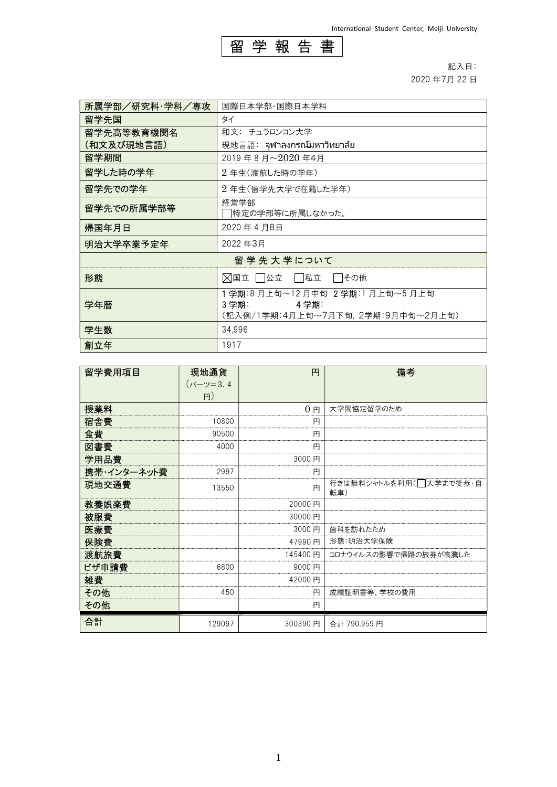

記入日: 2020 年7月 22 日

| 所属学部/研究科·学科/専攻 | 国際日本学部・国際日本学科                                                                            |  |
|----------------|------------------------------------------------------------------------------------------|--|
| 留学先国           | タイ                                                                                       |  |
| 留学先高等教育機関名     | 和文: チュラロンコン大学                                                                            |  |
| (和文及び現地言語)     | 現地言語:จุฬาลงกรณ์มหาวิทยาลัย                                                               |  |
| 留学期間           | 2019年8月~2020年4月                                                                          |  |
| 留学した時の学年       | 2年生(渡航した時の学年)                                                                            |  |
| 留学先での学年        | 2年生(留学先大学で在籍した学年)                                                                        |  |
| 留学先での所属学部等     | 経営学部<br> 特定の学部等に所属しなかった。                                                                 |  |
| 帰国年月日          | 2020年4月8日                                                                                |  |
| 明治大学卒業予定年      | 2022年3月                                                                                  |  |
| 留 学 先 大 学 について |                                                                                          |  |
| 形態             | ◯国立 │ │公立 │ │私立<br>  その他                                                                 |  |
| 学年暦            | 1 学期:8 月上旬~12 月中旬 2 学期:1 月上旬~5 月上旬<br>3学期:<br>4 学期:<br>(記入例/1学期:4月上旬~7月下旬,2学期:9月中旬~2月上旬) |  |
| 学生数            | 34.996                                                                                   |  |
| 創立年            | 1917                                                                                     |  |

| 留学費用項目      | 現地通貨     | 円              | 備考                            |
|-------------|----------|----------------|-------------------------------|
|             | (バーツ=3.4 |                |                               |
|             | H)       |                |                               |
| 授業料         |          | 0 <sub>H</sub> | 大学間協定留学のため                    |
| 宿舎費         | 10800    | 円              |                               |
| 食費          | 90500    | 円              |                               |
| 図書費         | 4000     | 円              |                               |
| 学用品費        |          | 3000円          |                               |
| 携帯・インターネット費 | 2997     | 円              |                               |
| 現地交通費       | 13550    | 円              | 行きは無料シャトルを利用(コ大学まで徒歩・自<br>転車) |
| 教養娯楽費       |          | 20000円         |                               |
| 被服費         |          | 30000円         |                               |
| 医療費         |          | 3000円          | 歯科を訪れたため                      |
| 保険費         |          | 47990円         | 形態:明治大学保険                     |
| 渡航旅費        |          | 145400円        | コロナウイルスの影響で帰路の旅券が高騰した         |
| ビザ申請費       | 6800     | 9000円          |                               |
| 雑費          |          | 42000円         |                               |
| その他         | 450      | 円              | 成績証明書等、学校の費用                  |
| その他         |          | 円              |                               |
| 合計          | 129097   | 300390円        | 合計 790,959円                   |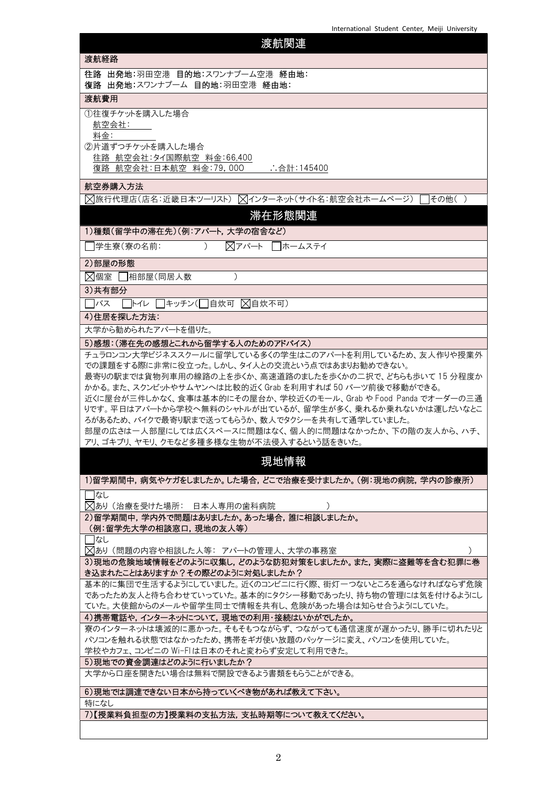| 渡航関連                                                                                                                                                                                                                                                                                                                                                                                                                                                                                                       |
|------------------------------------------------------------------------------------------------------------------------------------------------------------------------------------------------------------------------------------------------------------------------------------------------------------------------------------------------------------------------------------------------------------------------------------------------------------------------------------------------------------|
| 渡航経路                                                                                                                                                                                                                                                                                                                                                                                                                                                                                                       |
| 往路 出発地:羽田空港 目的地:スワンナプーム空港 経由地:<br>復路 出発地:スワンナプーム 目的地:羽田空港 経由地:                                                                                                                                                                                                                                                                                                                                                                                                                                             |
| 渡航費用                                                                                                                                                                                                                                                                                                                                                                                                                                                                                                       |
| ①往復チケットを購入した場合<br>航空会社:<br>料金:<br>②片道ずつチケットを購入した場合<br>往路 航空会社: タイ国際航空 料金: 66,400                                                                                                                                                                                                                                                                                                                                                                                                                           |
| 復路 航空会社:日本航空 料金:79,000<br>∴合計:145400                                                                                                                                                                                                                                                                                                                                                                                                                                                                       |
| 航空券購入方法<br> ∑ 旅行代理店(店名:近畿日本ツーリスト)  ∑インターネット(サイト名:航空会社ホームページ)  ∏その他( )<br>滞在形態関連<br>1)種類(留学中の滞在先)(例:アパート,大学の宿舎など)                                                                                                                                                                                                                                                                                                                                                                                           |
| ▽アパート □ホームステイ<br> 学生寮(寮の名前:<br>$\left( \right)$                                                                                                                                                                                                                                                                                                                                                                                                                                                            |
| 2)部屋の形態                                                                                                                                                                                                                                                                                                                                                                                                                                                                                                    |
| ○ 因 国室 □相部屋(同居人数<br>$\mathcal{C}$                                                                                                                                                                                                                                                                                                                                                                                                                                                                          |
| 3)共有部分                                                                                                                                                                                                                                                                                                                                                                                                                                                                                                     |
| □トイレ □キッチン(□自炊可 ⊠自炊不可)<br>バス                                                                                                                                                                                                                                                                                                                                                                                                                                                                               |
| 4)住居を探した方法:                                                                                                                                                                                                                                                                                                                                                                                                                                                                                                |
| 大学から勧められたアパートを借りた。                                                                                                                                                                                                                                                                                                                                                                                                                                                                                         |
| チュラロンコン大学ビジネススクールに留学している多くの学生はこのアパートを利用しているため、友人作りや授業外<br>での課題をする際に非常に役立った。しかし、タイ人との交流という点ではあまりお勧めできない。<br>最寄りの駅までは貨物列車用の線路の上を歩くか、高速道路のましたを歩くかの二択で、どちらも歩いて15分程度か<br>かかる。また、スクンビットやサムヤンへは比較的近く Grab を利用すれば 50 バーツ前後で移動ができる。<br>近くに屋台が三件しかなく、食事は基本的にその屋台か、学校近くのモール、Grab や Food Panda でオーダーの三通<br>りです。平日はアパートから学校へ無料のシャトルが出ているが、留学生が多く、乗れるか乗れないかは運しだいなとこ<br>ろがあるため、バイクで最寄り駅まで送ってもらうか、数人でタクシーを共有して通学していました。<br>部屋の広さは一人部屋にしては広くスペースに問題はなく、個人的に問題はなかったか、下の階の友人から、ハチ、<br>アリ、ゴキブリ、ヤモリ、クモなど多種多様な生物が不法侵入するという話をきいた。 |
| 現地情報                                                                                                                                                                                                                                                                                                                                                                                                                                                                                                       |
| 1)留学期間中,病気やケガをしましたか。した場合,どこで治療を受けましたか。(例:現地の病院,学内の診療所)                                                                                                                                                                                                                                                                                                                                                                                                                                                     |
| なし                                                                                                                                                                                                                                                                                                                                                                                                                                                                                                         |
| ╳  あり (治療を受けた場所: 日本人専用の歯科病院 <br>2)留学期間中、学内外で問題はありましたか。あった場合、誰に相談しましたか。                                                                                                                                                                                                                                                                                                                                                                                                                                     |
| (例:留学先大学の相談窓口,現地の友人等)                                                                                                                                                                                                                                                                                                                                                                                                                                                                                      |
| なし<br>▽あり (問題の内容や相談した人等: アパートの管理人、大学の事務室                                                                                                                                                                                                                                                                                                                                                                                                                                                                   |
| 3)現地の危険地域情報をどのように収集し、どのような防犯対策をしましたか。また、実際に盗難等を含む犯罪に巻<br>き込まれたことはありますか?その際どのように対処しましたか?                                                                                                                                                                                                                                                                                                                                                                                                                    |
| 基本的に集団で生活するようにしていました。近くのコンビニに行く際、街灯一つないところを通らなければならず危険<br>であったため友人と待ち合わせていっていた。基本的にタクシー移動であったり、持ち物の管理には気を付けるようにし<br>ていた。大使館からのメールや留学生同士で情報を共有し、危険があった場合は知らせ合うようにしていた。                                                                                                                                                                                                                                                                                                                                      |
| 4)携帯電話や,インターネットについて,現地での利用・接続はいかがでしたか。<br>寮のインターネットは壊滅的に悪かった。そもそもつながらず、つながっても通信速度が遅かったり、勝手に切れたりと<br>パソコンを触れる状態ではなかったため、携帯をギガ使い放題のパッケージに変え、パソコンを使用していた。<br>学校やカフェ、コンビニの Wi-Flは日本のそれと変わらず安定して利用できた。                                                                                                                                                                                                                                                                                                          |
| 5)現地での資金調達はどのように行いましたか?                                                                                                                                                                                                                                                                                                                                                                                                                                                                                    |
| 大学から口座を開きたい場合は無料で開設できるよう書類をもらうことができる。                                                                                                                                                                                                                                                                                                                                                                                                                                                                      |
| 6)現地では調達できない日本から持っていくべき物があれば教えて下さい。                                                                                                                                                                                                                                                                                                                                                                                                                                                                        |
| 特になし<br>7)【授業料負担型の方】授業料の支払方法, 支払時期等について教えてください。                                                                                                                                                                                                                                                                                                                                                                                                                                                            |
|                                                                                                                                                                                                                                                                                                                                                                                                                                                                                                            |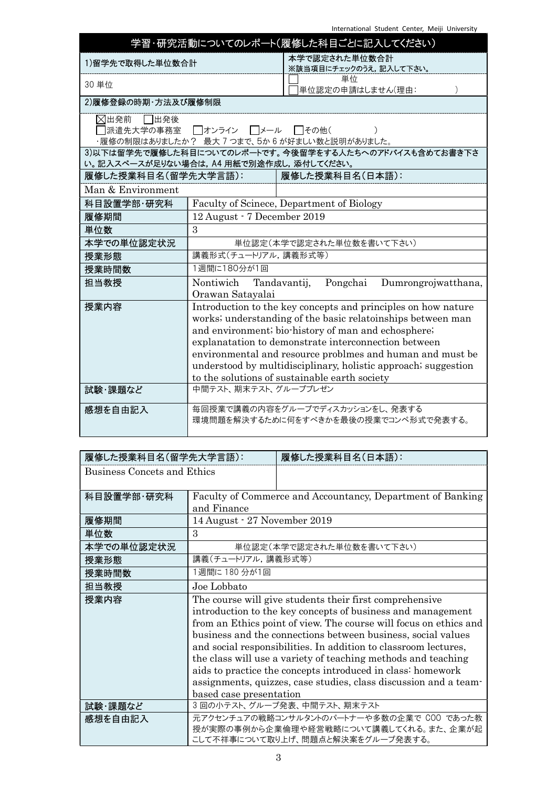| 学習・研究活動についてのレポート(履修した科目ごとに記入してください)                                                               |                                                                                                                                                                                                                                                                                                                                                                                                                             |                                                                         |                     |
|---------------------------------------------------------------------------------------------------|-----------------------------------------------------------------------------------------------------------------------------------------------------------------------------------------------------------------------------------------------------------------------------------------------------------------------------------------------------------------------------------------------------------------------------|-------------------------------------------------------------------------|---------------------|
| 1)留学先で取得した単位数合計                                                                                   |                                                                                                                                                                                                                                                                                                                                                                                                                             | 本学で認定された単位数合計<br>※該当項目にチェックのうえ,記入して下さい。                                 |                     |
| 30 単位                                                                                             |                                                                                                                                                                                                                                                                                                                                                                                                                             | 単位<br>単位認定の申請はしません(理由:                                                  |                     |
| 2)履修登録の時期·方法及び履修制限                                                                                |                                                                                                                                                                                                                                                                                                                                                                                                                             |                                                                         |                     |
| ⊠出発前<br>□出発後                                                                                      | 派遣先大学の事務室  □オンライン  □メール                                                                                                                                                                                                                                                                                                                                                                                                     | □その他(<br>・履修の制限はありましたか? 最大7つまで、5か6が好ましい数と説明がありました。                      |                     |
| 3)以下は留学先で履修した科目についてのレポートです。今後留学をする人たちへのアドバイスも含めてお書き下さ<br>い。記入スペースが足りない場合は, A4 用紙で別途作成し, 添付してください。 |                                                                                                                                                                                                                                                                                                                                                                                                                             |                                                                         |                     |
| 履修した授業科目名(留学先大学言語):                                                                               |                                                                                                                                                                                                                                                                                                                                                                                                                             | 履修した授業科目名(日本語):                                                         |                     |
| Man & Environment                                                                                 |                                                                                                                                                                                                                                                                                                                                                                                                                             |                                                                         |                     |
| 科目設置学部·研究科                                                                                        |                                                                                                                                                                                                                                                                                                                                                                                                                             | Faculty of Scinece, Department of Biology                               |                     |
| 履修期間                                                                                              | 12 August - 7 December 2019                                                                                                                                                                                                                                                                                                                                                                                                 |                                                                         |                     |
| 単位数                                                                                               | $\mathbf{3}$                                                                                                                                                                                                                                                                                                                                                                                                                |                                                                         |                     |
| 本学での単位認定状況                                                                                        |                                                                                                                                                                                                                                                                                                                                                                                                                             | 単位認定(本学で認定された単位数を書いて下さい)                                                |                     |
| 授業形態                                                                                              | 講義形式(チュートリアル,講義形式等)                                                                                                                                                                                                                                                                                                                                                                                                         |                                                                         |                     |
| 授業時間数                                                                                             | 1週間に180分が1回                                                                                                                                                                                                                                                                                                                                                                                                                 |                                                                         |                     |
| 担当教授                                                                                              | Nontiwich Tandavantij,<br>Orawan Satayalai                                                                                                                                                                                                                                                                                                                                                                                  | Pongchai                                                                | Dumrongrojwatthana, |
| 授業内容                                                                                              | Introduction to the key concepts and principles on how nature<br>works; understanding of the basic relatoinships between man<br>and environment; bio-history of man and echosphere;<br>explanatation to demonstrate interconnection between<br>environmental and resource problmes and human and must be<br>understood by multidisciplinary, holistic approach; suggestion<br>to the solutions of sustainable earth society |                                                                         |                     |
| 試験・課題など                                                                                           | 中間テスト、期末テスト、グループプレゼン                                                                                                                                                                                                                                                                                                                                                                                                        |                                                                         |                     |
| 感想を自由記入                                                                                           |                                                                                                                                                                                                                                                                                                                                                                                                                             | 毎回授業で講義の内容をグループでディスカッションをし、発表する<br>環境問題を解決するために何をすべきかを最後の授業でコンペ形式で発表する。 |                     |

| 履修した授業科目名(留学先大学言語):         |                                                                  | 履修した授業科目名(日本語):                                                   |  |
|-----------------------------|------------------------------------------------------------------|-------------------------------------------------------------------|--|
| Business Concets and Ethics |                                                                  |                                                                   |  |
|                             |                                                                  |                                                                   |  |
| 科目設置学部·研究科                  |                                                                  | Faculty of Commerce and Accountancy, Department of Banking        |  |
|                             | and Finance                                                      |                                                                   |  |
| 履修期間                        | 14 August - 27 November 2019                                     |                                                                   |  |
| 単位数                         | 3                                                                |                                                                   |  |
| 本学での単位認定状況                  |                                                                  | 単位認定(本学で認定された単位数を書いて下さい)                                          |  |
| 授業形態                        | 講義(チュートリアル,講義形式等)                                                |                                                                   |  |
| 授業時間数                       | 1週間に180分が1回                                                      |                                                                   |  |
| 担当教授                        | Joe Lobbato                                                      |                                                                   |  |
| 授業内容                        |                                                                  | The course will give students their first comprehensive           |  |
|                             |                                                                  | introduction to the key concepts of business and management       |  |
|                             |                                                                  | from an Ethics point of view. The course will focus on ethics and |  |
|                             |                                                                  | business and the connections between business, social values      |  |
|                             | and social responsibilities. In addition to classroom lectures,  |                                                                   |  |
|                             | the class will use a variety of teaching methods and teaching    |                                                                   |  |
|                             | aids to practice the concepts introduced in class: homework      |                                                                   |  |
|                             | assignments, quizzes, case studies, class discussion and a team- |                                                                   |  |
|                             | based case presentation                                          |                                                                   |  |
| 試験・課題など                     |                                                                  | 3回の小テスト、グループ発表、中間テスト、期末テスト                                        |  |
| 感想を自由記入                     |                                                                  | 元アクセンチュアの戦略コンサルタントのパートナーや多数の企業で COO であった教                         |  |
|                             |                                                                  | 授が実際の事例から企業倫理や経営戦略について講義してくれる。また、企業が起                             |  |
|                             |                                                                  | こして不祥事について取り上げ、問題点と解決案をグループ発表する。                                  |  |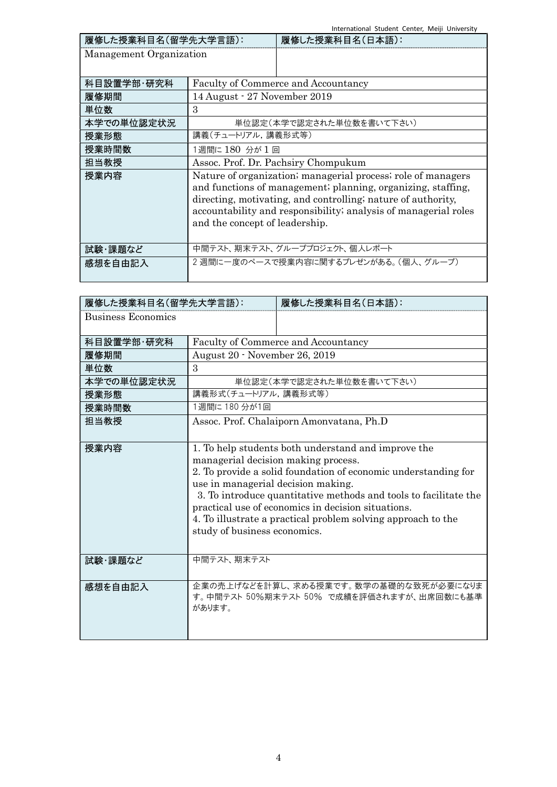International Student Center, Meiji University

| 履修した授業科目名(留学先大学言語):     |                                                                 | 履修した授業科目名(日本語):                                              |
|-------------------------|-----------------------------------------------------------------|--------------------------------------------------------------|
| Management Organization |                                                                 |                                                              |
|                         |                                                                 |                                                              |
| 科目設置学部·研究科              |                                                                 | <b>Faculty of Commerce and Accountancy</b>                   |
| 履修期間                    | 14 August - 27 November 2019                                    |                                                              |
| 単位数                     | $\mathcal{S}$                                                   |                                                              |
| 本学での単位認定状況              |                                                                 | 単位認定(本学で認定された単位数を書いて下さい)                                     |
| 授業形態                    | 講義(チュートリアル,講義形式等)                                               |                                                              |
| 授業時間数                   | 1週間に 180 分が1回                                                   |                                                              |
| 担当教授                    | Assoc. Prof. Dr. Pachsiry Chompukum                             |                                                              |
| 授業内容                    |                                                                 | Nature of organization; managerial process; role of managers |
|                         |                                                                 | and functions of management; planning, organizing, staffing, |
|                         | directing, motivating, and controlling; nature of authority,    |                                                              |
|                         | accountability and responsibility; analysis of managerial roles |                                                              |
|                         | and the concept of leadership.                                  |                                                              |
|                         |                                                                 |                                                              |
| 試験・課題など                 |                                                                 | 中間テスト、期末テスト、グループプロジェクト、個人レポート                                |
| 感想を自由記入                 |                                                                 | 2 週間に一度のペースで授業内容に関するプレゼンがある。(個人、グループ)                        |
|                         |                                                                 |                                                              |

| 履修した授業科目名(留学先大学言語):       |                                                                                                                                                                                                                                                                                                                                                                                                                              | 履修した授業科目名(日本語):                                                                    |
|---------------------------|------------------------------------------------------------------------------------------------------------------------------------------------------------------------------------------------------------------------------------------------------------------------------------------------------------------------------------------------------------------------------------------------------------------------------|------------------------------------------------------------------------------------|
| <b>Business Economics</b> |                                                                                                                                                                                                                                                                                                                                                                                                                              |                                                                                    |
| 科目設置学部·研究科                |                                                                                                                                                                                                                                                                                                                                                                                                                              | Faculty of Commerce and Accountancy                                                |
| 履修期間                      | August 20 - November 26, 2019                                                                                                                                                                                                                                                                                                                                                                                                |                                                                                    |
| 単位数                       | 3                                                                                                                                                                                                                                                                                                                                                                                                                            |                                                                                    |
| 本学での単位認定状況                |                                                                                                                                                                                                                                                                                                                                                                                                                              | 単位認定(本学で認定された単位数を書いて下さい)                                                           |
| 授業形態                      | 講義形式(チュートリアル,講義形式等)                                                                                                                                                                                                                                                                                                                                                                                                          |                                                                                    |
| 授業時間数                     | 1週間に180分が1回                                                                                                                                                                                                                                                                                                                                                                                                                  |                                                                                    |
| 担当教授                      |                                                                                                                                                                                                                                                                                                                                                                                                                              | Assoc. Prof. Chalaiporn Amonyatana, Ph.D                                           |
| 授業内容                      | 1. To help students both understand and improve the<br>managerial decision making process.<br>2. To provide a solid foundation of economic understanding for<br>use in managerial decision making.<br>3. To introduce quantitative methods and tools to facilitate the<br>practical use of economics in decision situations.<br>4. To illustrate a practical problem solving approach to the<br>study of business economics. |                                                                                    |
| 試験・課題など                   | 中間テスト、期末テスト                                                                                                                                                                                                                                                                                                                                                                                                                  |                                                                                    |
| 感想を自由記入                   | があります。                                                                                                                                                                                                                                                                                                                                                                                                                       | 企業の売上げなどを計算し、求める授業です。数学の基礎的な致死が必要になりま<br>す。中間テスト 50%期末テスト 50% で成績を評価されますが、出席回数にも基準 |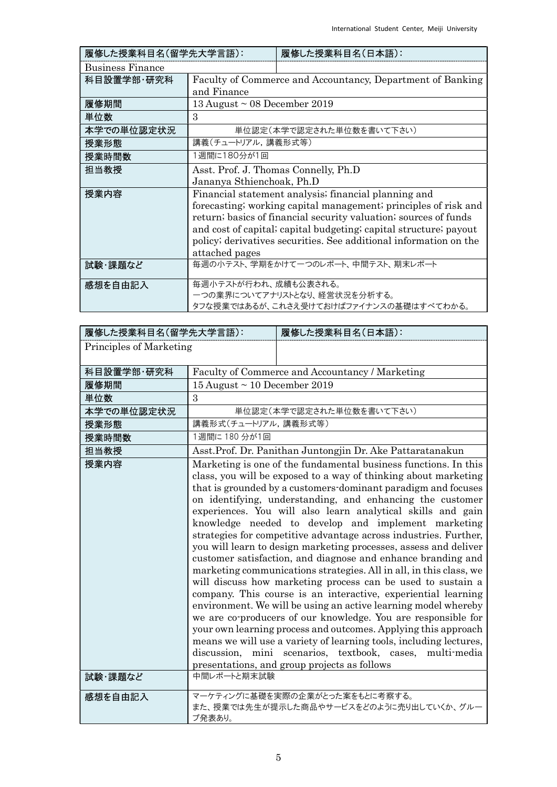| 履修した授業科目名(留学先大学言語):     |                                                                   | 履修した授業科目名(日本語):                                                  |  |
|-------------------------|-------------------------------------------------------------------|------------------------------------------------------------------|--|
| <b>Business Finance</b> |                                                                   |                                                                  |  |
| 科目設置学部·研究科              |                                                                   | Faculty of Commerce and Accountancy, Department of Banking       |  |
|                         | and Finance                                                       |                                                                  |  |
| 履修期間                    | 13 August $\sim$ 08 December 2019                                 |                                                                  |  |
| 単位数                     | 3                                                                 |                                                                  |  |
| 本学での単位認定状況              |                                                                   | 単位認定(本学で認定された単位数を書いて下さい)                                         |  |
| 授業形態                    | 講義(チュートリアル, 講義形式等)                                                |                                                                  |  |
| 授業時間数                   | 1週間に180分が1回                                                       |                                                                  |  |
| 担当教授                    | Asst. Prof. J. Thomas Connelly, Ph.D                              |                                                                  |  |
|                         | Jananya Sthienchoak, Ph.D                                         |                                                                  |  |
| 授業内容                    |                                                                   | Financial statement analysis; financial planning and             |  |
|                         |                                                                   | forecasting; working capital management; principles of risk and  |  |
|                         |                                                                   | return; basics of financial security valuation; sources of funds |  |
|                         | and cost of capital; capital budgeting; capital structure; payout |                                                                  |  |
|                         | policy; derivatives securities. See additional information on the |                                                                  |  |
|                         | attached pages                                                    |                                                                  |  |
| 試験・課題など                 |                                                                   | 毎週の小テスト、学期をかけて一つのレポート、中間テスト、期末レポート                               |  |
|                         |                                                                   |                                                                  |  |
| 感想を自由記入                 | 毎週小テストが行われ、成績も公表される。                                              |                                                                  |  |
|                         |                                                                   | 一つの業界についてアナリストとなり、経営状況を分析する。                                     |  |
|                         |                                                                   | タフな授業ではあるが、これさえ受けておけばファイナンスの基礎はすべてわかる。                           |  |

| 履修した授業科目名(留学先大学言語):     |                                   | 履修した授業科目名(日本語):                                                                                                                                                                                                                                                                                                                                                                                                                                                                                                                                                                                                                                                                                                                                                                                                                                                                                                                                                                                                                                                                                                                                                                             |
|-------------------------|-----------------------------------|---------------------------------------------------------------------------------------------------------------------------------------------------------------------------------------------------------------------------------------------------------------------------------------------------------------------------------------------------------------------------------------------------------------------------------------------------------------------------------------------------------------------------------------------------------------------------------------------------------------------------------------------------------------------------------------------------------------------------------------------------------------------------------------------------------------------------------------------------------------------------------------------------------------------------------------------------------------------------------------------------------------------------------------------------------------------------------------------------------------------------------------------------------------------------------------------|
| Principles of Marketing |                                   |                                                                                                                                                                                                                                                                                                                                                                                                                                                                                                                                                                                                                                                                                                                                                                                                                                                                                                                                                                                                                                                                                                                                                                                             |
|                         |                                   |                                                                                                                                                                                                                                                                                                                                                                                                                                                                                                                                                                                                                                                                                                                                                                                                                                                                                                                                                                                                                                                                                                                                                                                             |
| 科目設置学部·研究科              |                                   | Faculty of Commerce and Accountancy / Marketing                                                                                                                                                                                                                                                                                                                                                                                                                                                                                                                                                                                                                                                                                                                                                                                                                                                                                                                                                                                                                                                                                                                                             |
| 履修期間                    | 15 August $\sim$ 10 December 2019 |                                                                                                                                                                                                                                                                                                                                                                                                                                                                                                                                                                                                                                                                                                                                                                                                                                                                                                                                                                                                                                                                                                                                                                                             |
| 単位数                     | 3                                 |                                                                                                                                                                                                                                                                                                                                                                                                                                                                                                                                                                                                                                                                                                                                                                                                                                                                                                                                                                                                                                                                                                                                                                                             |
| 本学での単位認定状況              |                                   | 単位認定(本学で認定された単位数を書いて下さい)                                                                                                                                                                                                                                                                                                                                                                                                                                                                                                                                                                                                                                                                                                                                                                                                                                                                                                                                                                                                                                                                                                                                                                    |
| 授業形態                    | 講義形式(チュートリアル,講義形式等)               |                                                                                                                                                                                                                                                                                                                                                                                                                                                                                                                                                                                                                                                                                                                                                                                                                                                                                                                                                                                                                                                                                                                                                                                             |
| 授業時間数                   | 1週間に180分が1回                       |                                                                                                                                                                                                                                                                                                                                                                                                                                                                                                                                                                                                                                                                                                                                                                                                                                                                                                                                                                                                                                                                                                                                                                                             |
| 担当教授                    |                                   | Asst. Prof. Dr. Panithan Juntongjin Dr. Ake Pattaratanakun                                                                                                                                                                                                                                                                                                                                                                                                                                                                                                                                                                                                                                                                                                                                                                                                                                                                                                                                                                                                                                                                                                                                  |
| 授業内容                    |                                   | Marketing is one of the fundamental business functions. In this<br>class, you will be exposed to a way of thinking about marketing<br>that is grounded by a customers-dominant paradigm and focuses<br>on identifying, understanding, and enhancing the customer<br>experiences. You will also learn analytical skills and gain<br>knowledge needed to develop and implement marketing<br>strategies for competitive advantage across industries. Further,<br>you will learn to design marketing processes, assess and deliver<br>customer satisfaction, and diagnose and enhance branding and<br>marketing communications strategies. All in all, in this class, we<br>will discuss how marketing process can be used to sustain a<br>company. This course is an interactive, experiential learning<br>environment. We will be using an active learning model whereby<br>we are co-producers of our knowledge. You are responsible for<br>your own learning process and outcomes. Applying this approach<br>means we will use a variety of learning tools, including lectures,<br>discussion, mini scenarios, textbook, cases, multi-media<br>presentations, and group projects as follows |
| 試験・課題など                 | 中間レポートと期末試験                       |                                                                                                                                                                                                                                                                                                                                                                                                                                                                                                                                                                                                                                                                                                                                                                                                                                                                                                                                                                                                                                                                                                                                                                                             |
| 感想を自由記入                 | プ発表あり。                            | マーケティングに基礎を実際の企業がとった案をもとに考察する。<br>また、授業では先生が提示した商品やサービスをどのように売り出していくか、グルー                                                                                                                                                                                                                                                                                                                                                                                                                                                                                                                                                                                                                                                                                                                                                                                                                                                                                                                                                                                                                                                                                                                   |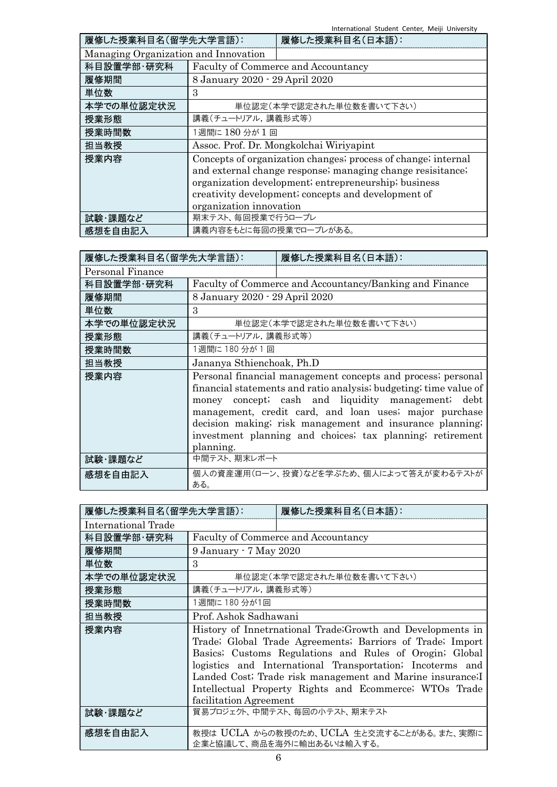International Student Center, Meiji University

| 履修した授業科目名(留学先大学言語):                  |                                | 履修した授業科目名(日本語):                                               |
|--------------------------------------|--------------------------------|---------------------------------------------------------------|
| Managing Organization and Innovation |                                |                                                               |
| 科目設置学部·研究科                           |                                | Faculty of Commerce and Accountancy                           |
| 履修期間                                 | 8 January 2020 - 29 April 2020 |                                                               |
| 単位数                                  | 3                              |                                                               |
| 本学での単位認定状況                           |                                | 単位認定(本学で認定された単位数を書いて下さい)                                      |
| 授業形態                                 | 講義(チュートリアル, 講義形式等)             |                                                               |
| 授業時間数                                | 1週間に180分が1回                    |                                                               |
| 担当教授                                 |                                | Assoc. Prof. Dr. Mongkolchai Wiriyapint                       |
| 授業内容                                 |                                | Concepts of organization changes; process of change; internal |
|                                      |                                | and external change response; managing change resisitance;    |
|                                      |                                | organization development; entrepreneurship; business          |
|                                      |                                | creativity development; concepts and development of           |
|                                      | organization innovation        |                                                               |
| 試験・課題など                              | 期末テスト、毎回授業で行うロープレ              |                                                               |
| 感想を自由記入                              | 講義内容をもとに毎回の授業でロープレがある。         |                                                               |

| 履修した授業科目名(留学先大学言語): |                                | 履修した授業科目名(日本語):                                                                                                                                                                                                                                                                                                                                                            |
|---------------------|--------------------------------|----------------------------------------------------------------------------------------------------------------------------------------------------------------------------------------------------------------------------------------------------------------------------------------------------------------------------------------------------------------------------|
| Personal Finance    |                                |                                                                                                                                                                                                                                                                                                                                                                            |
| 科目設置学部·研究科          |                                | Faculty of Commerce and Accountancy/Banking and Finance                                                                                                                                                                                                                                                                                                                    |
| 履修期間                | 8 January 2020 - 29 April 2020 |                                                                                                                                                                                                                                                                                                                                                                            |
| 単位数                 | 3                              |                                                                                                                                                                                                                                                                                                                                                                            |
| 本学での単位認定状況          |                                | 単位認定(本学で認定された単位数を書いて下さい)                                                                                                                                                                                                                                                                                                                                                   |
| 授業形態                | 講義(チュートリアル,講義形式等)              |                                                                                                                                                                                                                                                                                                                                                                            |
| 授業時間数               | 1週間に 180 分が 1 回                |                                                                                                                                                                                                                                                                                                                                                                            |
| 担当教授                | Jananya Sthienchoak, Ph.D      |                                                                                                                                                                                                                                                                                                                                                                            |
| 授業内容                | planning.                      | Personal financial management concepts and process; personal<br>financial statements and ratio analysis; budgeting; time value of<br>money concept; cash and liquidity management; debt<br>management, credit card, and loan uses; major purchase<br>decision making; risk management and insurance planning;<br>investment planning and choices, tax planning, retirement |
| 試験・課題など             | 中間テスト、期末レポート                   |                                                                                                                                                                                                                                                                                                                                                                            |
| 感想を自由記入             | ある。                            | 個人の資産運用(ローン、投資)などを学ぶため、個人によって答えが変わるテストが                                                                                                                                                                                                                                                                                                                                    |

| 履修した授業科目名(留学先大学言語): |                        | 履修した授業科目名(日本語):                                                                                                                                                                                                                                                                                                                                                          |
|---------------------|------------------------|--------------------------------------------------------------------------------------------------------------------------------------------------------------------------------------------------------------------------------------------------------------------------------------------------------------------------------------------------------------------------|
| International Trade |                        |                                                                                                                                                                                                                                                                                                                                                                          |
| 科目設置学部·研究科          |                        | <b>Faculty of Commerce and Accountancy</b>                                                                                                                                                                                                                                                                                                                               |
| 履修期間                | 9 January - 7 May 2020 |                                                                                                                                                                                                                                                                                                                                                                          |
| 単位数                 | 3                      |                                                                                                                                                                                                                                                                                                                                                                          |
| 本学での単位認定状況          |                        | 単位認定(本学で認定された単位数を書いて下さい)                                                                                                                                                                                                                                                                                                                                                 |
| 授業形態                | 講義(チュートリアル,講義形式等)      |                                                                                                                                                                                                                                                                                                                                                                          |
| 授業時間数               | 1週間に 180 分が1回          |                                                                                                                                                                                                                                                                                                                                                                          |
| 担当教授                | Prof. Ashok Sadhawani  |                                                                                                                                                                                                                                                                                                                                                                          |
| 授業内容                | facilitation Agreement | History of Innetrnational Trade; Growth and Developments in<br>Trade; Global Trade Agreements; Barriors of Trade; Import<br>Basics; Customs Regulations and Rules of Orogin; Global<br>logistics and International Transportation; Incoterms and<br>Landed Cost; Trade risk management and Marine insurance; I<br>Intellectual Property Rights and Ecommerce; WTOs Trade |
| 試験・課題など             |                        | 貿易プロジェクト、中間テスト、毎回の小テスト、期末テスト                                                                                                                                                                                                                                                                                                                                             |
| 感想を自由記入             |                        | 教授は UCLA からの教授のため、UCLA 生と交流することがある。また、実際に<br>企業と協議して、商品を海外に輸出あるいは輸入する。                                                                                                                                                                                                                                                                                                   |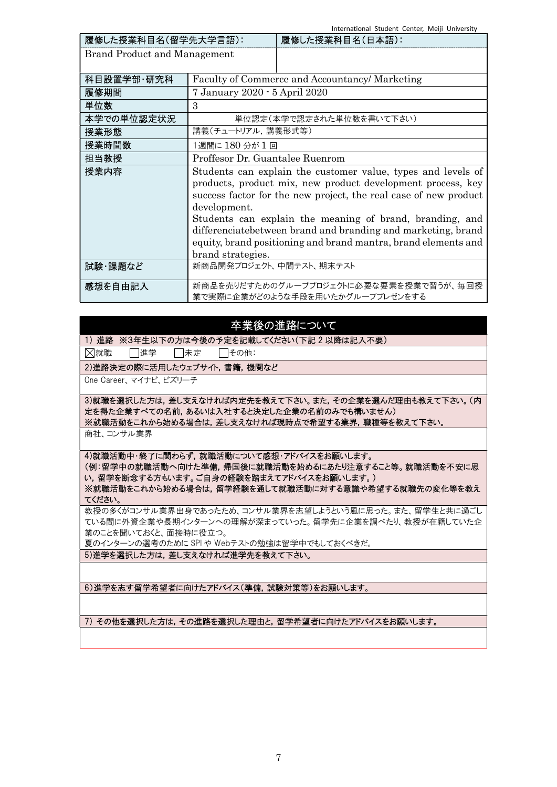International Student Center, Meiji University

| 履修した授業科目名(留学先大学言語):                 |                                                                  | 履修した授業科目名(日本語):                                                |  |
|-------------------------------------|------------------------------------------------------------------|----------------------------------------------------------------|--|
| <b>Brand Product and Management</b> |                                                                  |                                                                |  |
|                                     |                                                                  |                                                                |  |
| 科目設置学部 研究科                          | Faculty of Commerce and Accountancy/ Marketing                   |                                                                |  |
| 履修期間                                | 7 January 2020 - 5 April 2020                                    |                                                                |  |
| 単位数                                 | 3                                                                |                                                                |  |
| 本学での単位認定状況                          | 単位認定(本学で認定された単位数を書いて下さい)                                         |                                                                |  |
| 授業形態                                | 講義(チュートリアル,講義形式等)                                                |                                                                |  |
| 授業時間数                               | 1週間に 180 分が 1 回                                                  |                                                                |  |
| 担当教授                                | Proffesor Dr. Guantalee Ruenrom                                  |                                                                |  |
| 授業内容                                | Students can explain the customer value, types and levels of     |                                                                |  |
|                                     | products, product mix, new product development process, key      |                                                                |  |
|                                     | success factor for the new project, the real case of new product |                                                                |  |
|                                     | development.                                                     |                                                                |  |
|                                     | Students can explain the meaning of brand, branding, and         |                                                                |  |
|                                     | differenciatebetween brand and branding and marketing, brand     |                                                                |  |
|                                     |                                                                  | equity, brand positioning and brand mantra, brand elements and |  |
|                                     | brand strategies.                                                |                                                                |  |
| 試験・課題など                             | 新商品開発プロジェクト、中間テスト、期末テスト                                          |                                                                |  |
|                                     |                                                                  |                                                                |  |
| 感想を自由記入                             |                                                                  | 新商品を売りだすためのグループプロジェクトに必要な要素を授業で習うが、毎回授                         |  |
|                                     |                                                                  | 業で実際に企業がどのような手段を用いたかグループプレゼンをする                                |  |

## 卒業後の進路について

1) 進路 ※3年生以下の方は今後の予定を記載してください(下記 2 以降は記入不要)

図就職 □進学 □未定 □その他:

2)進路決定の際に活用したウェブサイト,書籍,機関など

One Career、マイナビ、ビズリーチ

3)就職を選択した方は,差し支えなければ内定先を教えて下さい。また,その企業を選んだ理由も教えて下さい。(内 定を得た企業すべての名前,あるいは入社すると決定した企業の名前のみでも構いません) ※就職活動をこれから始める場合は,差し支えなければ現時点で希望する業界,職種等を教えて下さい。

商社、コンサル業界

4)就職活動中・終了に関わらず,就職活動について感想・アドバイスをお願いします。

(例:留学中の就職活動へ向けた準備,帰国後に就職活動を始めるにあたり注意すること等。就職活動を不安に思 い,留学を断念する方もいます。ご自身の経験を踏まえてアドバイスをお願いします。) ※就職活動をこれから始める場合は,留学経験を通して就職活動に対する意識や希望する就職先の変化等を教え

てください。

教授の多くがコンサル業界出身であったため、コンサル業界を志望しようという風に思った。また、留学生と共に過ごし ている間に外資企業や長期インターンへの理解が深まっていった。留学先に企業を調べたり、教授が在籍していた企 業のことを聞いておくと、面接時に役立つ。

夏のインターンの選考のために SPI や Webテストの勉強は留学中でもしておくべきだ。

5)進学を選択した方は,差し支えなければ進学先を教えて下さい。

6)進学を志す留学希望者に向けたアドバイス(準備,試験対策等)をお願いします。

7) その他を選択した方は,その進路を選択した理由と,留学希望者に向けたアドバイスをお願いします。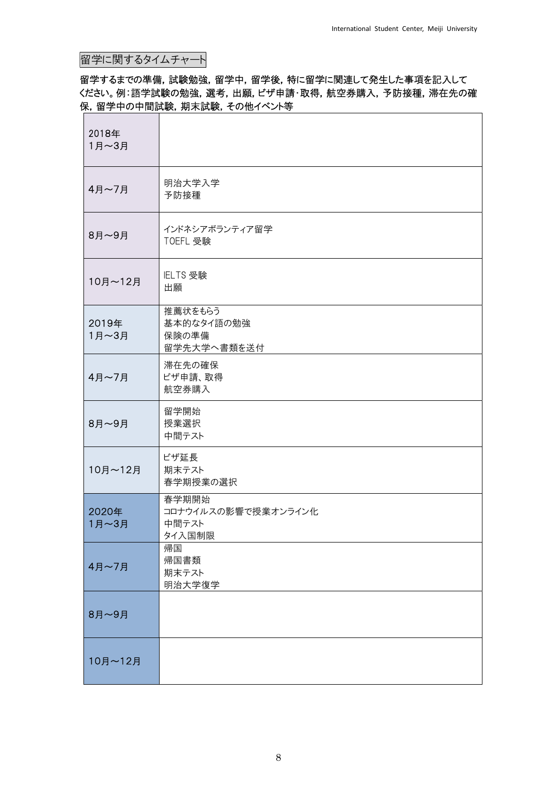# 留学に関するタイムチャート

## 留学するまでの準備,試験勉強,留学中,留学後,特に留学に関連して発生した事項を記入して ください。例:語学試験の勉強,選考,出願,ビザ申請・取得,航空券購入,予防接種,滞在先の確 保,留学中の中間試験,期末試験,その他イベント等

| 2018年<br>1月~3月 |                                                 |
|----------------|-------------------------------------------------|
| 4月~7月          | 明治大学入学<br>予防接種                                  |
| 8月~9月          | インドネシアボランティア留学<br>TOEFL 受験                      |
| 10月~12月        | IELTS 受験<br>出願                                  |
| 2019年<br>1月~3月 | 推薦状をもらう<br>基本的なタイ語の勉強<br>保険の準備<br>留学先大学へ書類を送付   |
| 4月~7月          | 滞在先の確保<br>ビザ申請、取得<br>航空券購入                      |
| 8月~9月          | 留学開始<br>授業選択<br>中間テスト                           |
| 10月~12月        | ビザ延長<br>期末テスト<br>春学期授業の選択                       |
| 2020年<br>1月~3月 | 春学期開始<br>コロナウイルスの影響で授業オンライン化<br>中間テスト<br>タイ入国制限 |
| 4月~7月          | 帰国<br>帰国書類<br>期末テスト<br>明治大学復学                   |
| 8月~9月          |                                                 |
| 10月~12月        |                                                 |